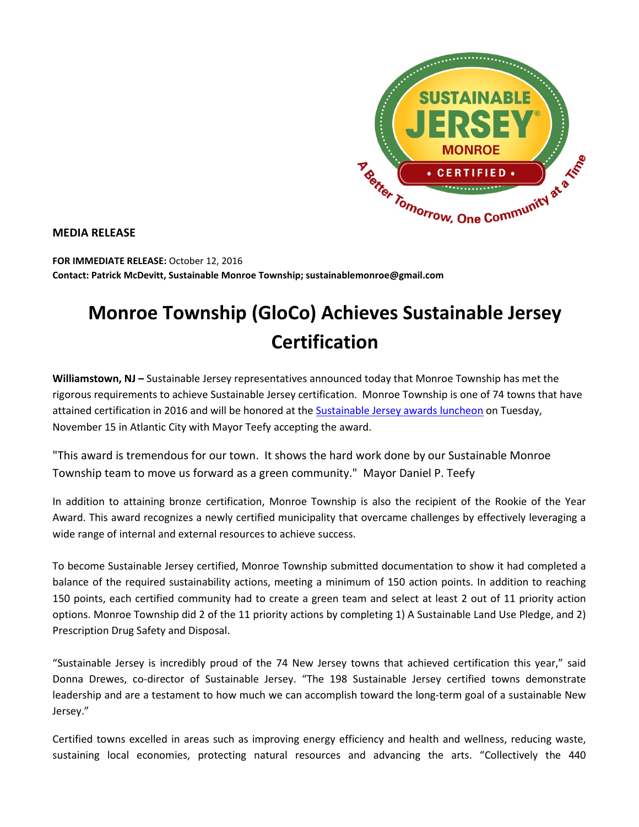

**MEDIA RELEASE**

**FOR IMMEDIATE RELEASE:** October 12, 2016 **Contact: Patrick McDevitt, Sustainable Monroe Township; sustainablemonroe@gmail.com**

## **Monroe Township (GloCo) Achieves Sustainable Jersey Certification**

**Williamstown, NJ –** Sustainable Jersey representatives announced today that Monroe Township has met the rigorous requirements to achieve Sustainable Jersey certification. Monroe Township is one of 74 towns that have attained certification in 2016 and will be honored at th[e Sustainable Jersey awards luncheon](http://www.sustainablejersey.com/events-trainings/annual-luncheon/) on Tuesday, November 15 in Atlantic City with Mayor Teefy accepting the award.

"This award is tremendous for our town. It shows the hard work done by our Sustainable Monroe Township team to move us forward as a green community." Mayor Daniel P. Teefy

In addition to attaining bronze certification, Monroe Township is also the recipient of the Rookie of the Year Award. This award recognizes a newly certified municipality that overcame challenges by effectively leveraging a wide range of internal and external resources to achieve success.

To become Sustainable Jersey certified, Monroe Township submitted documentation to show it had completed a balance of the required sustainability actions, meeting a minimum of 150 action points. In addition to reaching 150 points, each certified community had to create a green team and select at least 2 out of 11 priority action options. Monroe Township did 2 of the 11 priority actions by completing 1) A Sustainable Land Use Pledge, and 2) Prescription Drug Safety and Disposal.

"Sustainable Jersey is incredibly proud of the 74 New Jersey towns that achieved certification this year," said Donna Drewes, co-director of Sustainable Jersey. "The 198 Sustainable Jersey certified towns demonstrate leadership and are a testament to how much we can accomplish toward the long-term goal of a sustainable New Jersey."

Certified towns excelled in areas such as improving energy efficiency and health and wellness, reducing waste, sustaining local economies, protecting natural resources and advancing the arts. "Collectively the 440